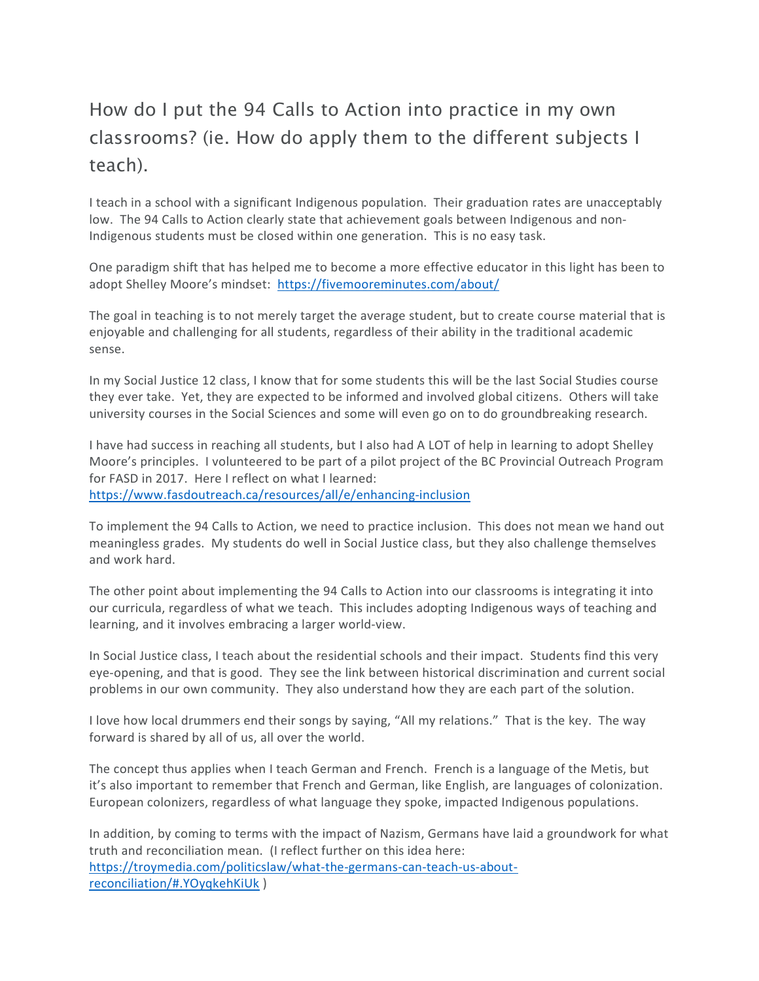## How do I put the 94 Calls to Action into practice in my own classrooms? (ie. How do apply them to the different subjects I teach).

I teach in a school with a significant Indigenous population. Their graduation rates are unacceptably low. The 94 Calls to Action clearly state that achievement goals between Indigenous and non-Indigenous students must be closed within one generation. This is no easy task.

One paradigm shift that has helped me to become a more effective educator in this light has been to adopt Shelley Moore's mindset: https://fivemooreminutes.com/about/

The goal in teaching is to not merely target the average student, but to create course material that is enjoyable and challenging for all students, regardless of their ability in the traditional academic sense.

In my Social Justice 12 class, I know that for some students this will be the last Social Studies course they ever take. Yet, they are expected to be informed and involved global citizens. Others will take university courses in the Social Sciences and some will even go on to do groundbreaking research.

I have had success in reaching all students, but I also had A LOT of help in learning to adopt Shelley Moore's principles. I volunteered to be part of a pilot project of the BC Provincial Outreach Program for FASD in 2017. Here I reflect on what I learned: https://www.fasdoutreach.ca/resources/all/e/enhancing-inclusion

To implement the 94 Calls to Action, we need to practice inclusion. This does not mean we hand out meaningless grades. My students do well in Social Justice class, but they also challenge themselves and work hard.

The other point about implementing the 94 Calls to Action into our classrooms is integrating it into our curricula, regardless of what we teach. This includes adopting Indigenous ways of teaching and learning, and it involves embracing a larger world-view.

In Social Justice class, I teach about the residential schools and their impact. Students find this very eye-opening, and that is good. They see the link between historical discrimination and current social problems in our own community. They also understand how they are each part of the solution.

I love how local drummers end their songs by saying, "All my relations." That is the key. The way forward is shared by all of us, all over the world.

The concept thus applies when I teach German and French. French is a language of the Metis, but it's also important to remember that French and German, like English, are languages of colonization. European colonizers, regardless of what language they spoke, impacted Indigenous populations.

In addition, by coming to terms with the impact of Nazism, Germans have laid a groundwork for what truth and reconciliation mean. (I reflect further on this idea here: https://troymedia.com/politicslaw/what-the-germans-can-teach-us-aboutreconciliation/#.YOyqkehKiUk )